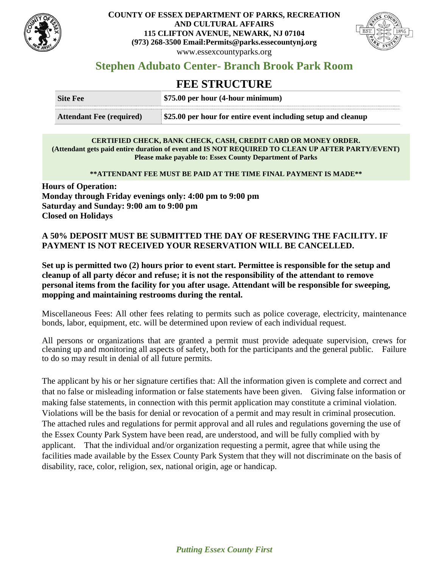

## **COUNTY OF ESSEX DEPARTMENT OF PARKS, RECREATION AND CULTURAL AFFAIRS 115 CLIFTON AVENUE, NEWARK, NJ 07104 (973) 268-3500 Email:Permits@parks.essecountynj.org** www.essexcountyparks.org



# **Stephen Adubato Center- Branch Brook Park Room**

# **FEE STRUCTURE**

| Site Fee                        | \$75.00 per hour (4-hour minimum)                             |
|---------------------------------|---------------------------------------------------------------|
| <b>Attendant Fee (required)</b> | \$25.00 per hour for entire event including setup and cleanup |

#### **CERTIFIED CHECK, BANK CHECK, CASH, CREDIT CARD OR MONEY ORDER. (Attendant gets paid entire duration of event and IS NOT REQUIRED TO CLEAN UP AFTER PARTY/EVENT) Please make payable to: Essex County Department of Parks**

### **\*\*ATTENDANT FEE MUST BE PAID AT THE TIME FINAL PAYMENT IS MADE\*\***

**Hours of Operation: Monday through Friday evenings only: 4:00 pm to 9:00 pm Saturday and Sunday: 9:00 am to 9:00 pm Closed on Holidays**

## **A 50% DEPOSIT MUST BE SUBMITTED THE DAY OF RESERVING THE FACILITY. IF PAYMENT IS NOT RECEIVED YOUR RESERVATION WILL BE CANCELLED.**

**Set up is permitted two (2) hours prior to event start. Permittee is responsible for the setup and cleanup of all party décor and refuse; it is not the responsibility of the attendant to remove personal items from the facility for you after usage. Attendant will be responsible for sweeping, mopping and maintaining restrooms during the rental.**

Miscellaneous Fees: All other fees relating to permits such as police coverage, electricity, maintenance bonds, labor, equipment, etc. will be determined upon review of each individual request.

All persons or organizations that are granted a permit must provide adequate supervision, crews for cleaning up and monitoring all aspects of safety, both for the participants and the general public. Failure to do so may result in denial of all future permits.

The applicant by his or her signature certifies that: All the information given is complete and correct and that no false or misleading information or false statements have been given. Giving false information or making false statements, in connection with this permit application may constitute a criminal violation. Violations will be the basis for denial or revocation of a permit and may result in criminal prosecution. The attached rules and regulations for permit approval and all rules and regulations governing the use of the Essex County Park System have been read, are understood, and will be fully complied with by applicant. That the individual and/or organization requesting a permit, agree that while using the facilities made available by the Essex County Park System that they will not discriminate on the basis of disability, race, color, religion, sex, national origin, age or handicap.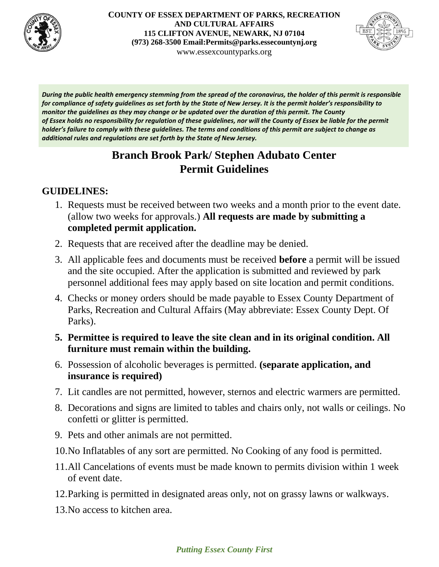

## **COUNTY OF ESSEX DEPARTMENT OF PARKS, RECREATION AND CULTURAL AFFAIRS 115 CLIFTON AVENUE, NEWARK, NJ 07104 (973) 268-3500 Email:Permits@parks.essecountynj.org** www.essexcountyparks.org



*During the public health emergency stemming from the spread of the coronavirus, the holder of this permit is responsible for compliance of safety guidelines as set forth by the State of New Jersey. It is the permit holder's responsibility to monitor the guidelines as they may change or be updated over the duration of this permit. The County of Essex holds no responsibility for regulation of these guidelines, nor will the County of Essex be liable for the permit holder's failure to comply with these guidelines. The terms and conditions of this permit are subject to change as additional rules and regulations are set forth by the State of New Jersey.*

# **Branch Brook Park/ Stephen Adubato Center Permit Guidelines**

# **GUIDELINES:**

- 1. Requests must be received between two weeks and a month prior to the event date. (allow two weeks for approvals.) **All requests are made by submitting a completed permit application.**
- 2. Requests that are received after the deadline may be denied.
- 3. All applicable fees and documents must be received **before** a permit will be issued and the site occupied. After the application is submitted and reviewed by park personnel additional fees may apply based on site location and permit conditions.
- 4. Checks or money orders should be made payable to Essex County Department of Parks, Recreation and Cultural Affairs (May abbreviate: Essex County Dept. Of Parks).

# **5. Permittee is required to leave the site clean and in its original condition. All furniture must remain within the building.**

- 6. Possession of alcoholic beverages is permitted. **(separate application, and insurance is required)**
- 7. Lit candles are not permitted, however, sternos and electric warmers are permitted.
- 8. Decorations and signs are limited to tables and chairs only, not walls or ceilings. No confetti or glitter is permitted.
- 9. Pets and other animals are not permitted.
- 10.No Inflatables of any sort are permitted. No Cooking of any food is permitted.
- 11.All Cancelations of events must be made known to permits division within 1 week of event date.
- 12.Parking is permitted in designated areas only, not on grassy lawns or walkways.
- 13.No access to kitchen area.

## *Putting Essex County First*